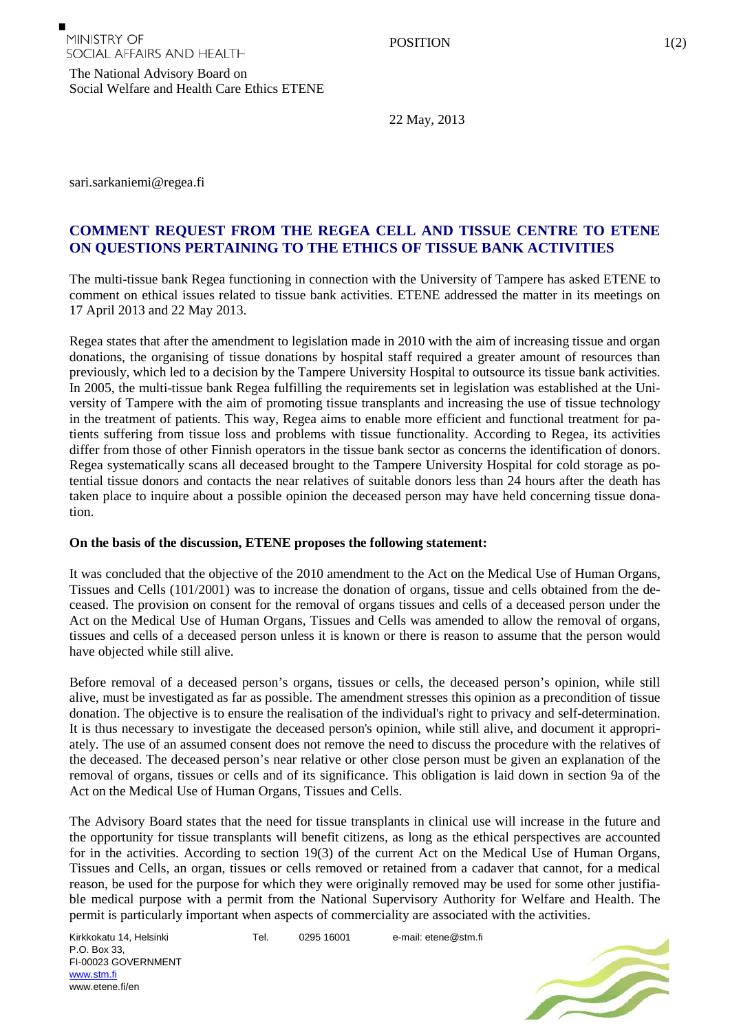The National Advisory Board on Social Welfare and Health Care Ethics ETENE

22 May, 2013

sari.sarkaniemi@regea.fi

## **COMMENT REQUEST FROM THE REGEA CELL AND TISSUE CENTRE TO ETENE ON QUESTIONS PERTAINING TO THE ETHICS OF TISSUE BANK ACTIVITIES**

The multi-tissue bank Regea functioning in connection with the University of Tampere has asked ETENE to comment on ethical issues related to tissue bank activities. ETENE addressed the matter in its meetings on 17 April 2013 and 22 May 2013.

Regea states that after the amendment to legislation made in 2010 with the aim of increasing tissue and organ donations, the organising of tissue donations by hospital staff required a greater amount of resources than previously, which led to a decision by the Tampere University Hospital to outsource its tissue bank activities. In 2005, the multi-tissue bank Regea fulfilling the requirements set in legislation was established at the University of Tampere with the aim of promoting tissue transplants and increasing the use of tissue technology in the treatment of patients. This way, Regea aims to enable more efficient and functional treatment for patients suffering from tissue loss and problems with tissue functionality. According to Regea, its activities differ from those of other Finnish operators in the tissue bank sector as concerns the identification of donors. Regea systematically scans all deceased brought to the Tampere University Hospital for cold storage as potential tissue donors and contacts the near relatives of suitable donors less than 24 hours after the death has taken place to inquire about a possible opinion the deceased person may have held concerning tissue donation.

## **On the basis of the discussion, ETENE proposes the following statement:**

It was concluded that the objective of the 2010 amendment to the Act on the Medical Use of Human Organs, Tissues and Cells (101/2001) was to increase the donation of organs, tissue and cells obtained from the deceased. The provision on consent for the removal of organs tissues and cells of a deceased person under the Act on the Medical Use of Human Organs, Tissues and Cells was amended to allow the removal of organs, tissues and cells of a deceased person unless it is known or there is reason to assume that the person would have objected while still alive.

Before removal of a deceased person's organs, tissues or cells, the deceased person's opinion, while still alive, must be investigated as far as possible. The amendment stresses this opinion as a precondition of tissue donation. The objective is to ensure the realisation of the individual's right to privacy and self-determination. It is thus necessary to investigate the deceased person's opinion, while still alive, and document it appropriately. The use of an assumed consent does not remove the need to discuss the procedure with the relatives of the deceased. The deceased person's near relative or other close person must be given an explanation of the removal of organs, tissues or cells and of its significance. This obligation is laid down in section 9a of the Act on the Medical Use of Human Organs, Tissues and Cells.

The Advisory Board states that the need for tissue transplants in clinical use will increase in the future and the opportunity for tissue transplants will benefit citizens, as long as the ethical perspectives are accounted for in the activities. According to section 19(3) of the current Act on the Medical Use of Human Organs, Tissues and Cells, an organ, tissues or cells removed or retained from a cadaver that cannot, for a medical reason, be used for the purpose for which they were originally removed may be used for some other justifiable medical purpose with a permit from the National Supervisory Authority for Welfare and Health. The permit is particularly important when aspects of commerciality are associated with the activities.

Kirkkokatu 14, Helsinki P.O. Box 33, FI-00023 GOVERNMENT [www.stm.fi](http://www.stm.fi/) www.etene.fi/en

Tel. 0295 16001 e-mail: etene@stm.fi